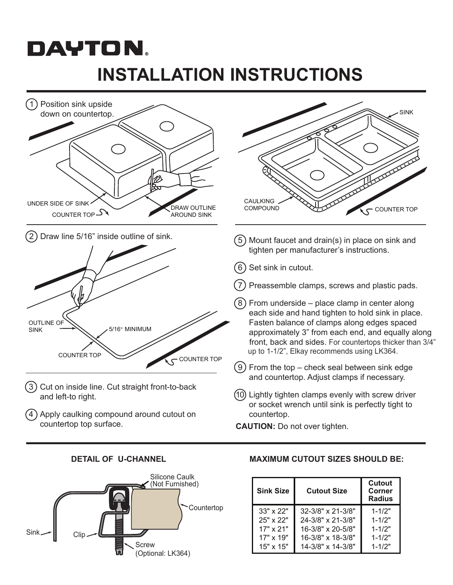# DAYTON. **INSTALLATION INSTRUCTIONS**







### **DETAIL OF U-CHANNEL MAXIMUM CUTOUT SIZES SHOULD BE:**

| <b>Sink Size</b> | <b>Cutout Size</b>           | Cutout<br>Corner<br>Radius |
|------------------|------------------------------|----------------------------|
| $33" \times 22"$ | $32 - 3/8" \times 21 - 3/8"$ | $1 - 1/2"$                 |
| 25" x 22"        | 24-3/8" x 21-3/8"            | $1 - 1/2"$                 |
| 17" x 21"        | 16-3/8" x 20-5/8"            | $1 - 1/2"$                 |
| 17" x 19"        | 16-3/8" x 18-3/8"            | $1 - 1/2"$                 |
| $15" \times 15"$ | 14-3/8" x 14-3/8"            | $1 - 1/2"$                 |